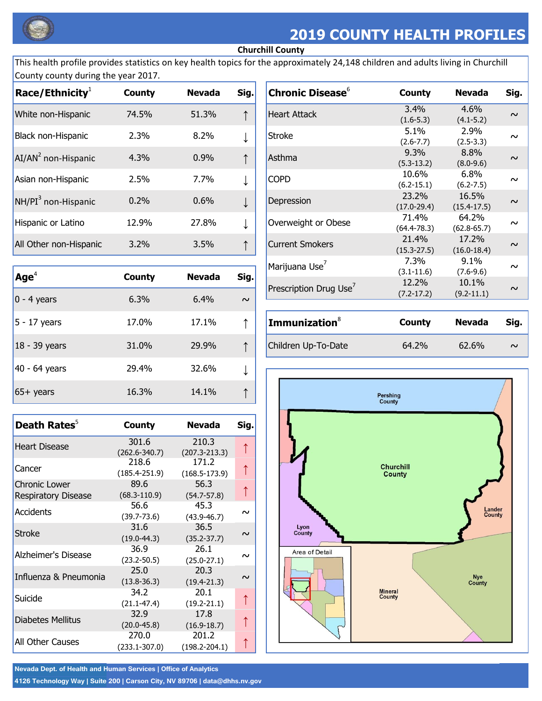

## **2019 COUNTY HEALTH PROFILES**

## **Churchill County**

This health profile provides statistics on key health topics for the approximately 24,148 children and adults living in Churchill County county during the year 2017.

| Race/Ethnicity <sup>1</sup>     | <b>County</b> | <b>Nevada</b> | Sig. |
|---------------------------------|---------------|---------------|------|
| White non-Hispanic              | 74.5%         | 51.3%         |      |
| Black non-Hispanic              | 2.3%          | 8.2%          |      |
| AI/AN <sup>2</sup> non-Hispanic | 4.3%          | 0.9%          |      |
| Asian non-Hispanic              | 2.5%          | 7.7%          |      |
| NH/PI <sup>3</sup> non-Hispanic | 0.2%          | 0.6%          |      |
| Hispanic or Latino              | 12.9%         | 27.8%         |      |
| All Other non-Hispanic          | 3.2%          | 3.5%          |      |

| Age <sup>4</sup> | <b>County</b> | <b>Nevada</b> | Sig. |
|------------------|---------------|---------------|------|
| $0 - 4$ years    | 6.3%          | 6.4%          |      |
| $5 - 17$ years   | 17.0%         | 17.1%         |      |
| 18 - 39 years    | 31.0%         | 29.9%         |      |
| 40 - 64 years    | 29.4%         | 32.6%         |      |
| $65+$ years      | 16.3%         | 14.1%         |      |

| Death Rates <sup>5</sup>   | <b>County</b>     | <b>Nevada</b>     | Sig.   |
|----------------------------|-------------------|-------------------|--------|
| <b>Heart Disease</b>       | 301.6             | 210.3             |        |
|                            | $(262.6 - 340.7)$ | $(207.3 - 213.3)$ |        |
| Cancer                     | 218.6             | 171.2             |        |
|                            | $(185.4 - 251.9)$ | $(168.5 - 173.9)$ |        |
| <b>Chronic Lower</b>       | 89.6              | 56.3              |        |
| <b>Respiratory Disease</b> | $(68.3 - 110.9)$  | $(54.7 - 57.8)$   |        |
|                            | 56.6              | 45.3              |        |
| Accidents                  | $(39.7 - 73.6)$   | $(43.9 - 46.7)$   | $\sim$ |
|                            | 31.6              | 36.5              |        |
| Stroke                     | $(19.0 - 44.3)$   | $(35.2 - 37.7)$   | $\sim$ |
|                            | 36.9              | 26.1              |        |
| Alzheimer's Disease        | $(23.2 - 50.5)$   | $(25.0 - 27.1)$   | $\sim$ |
|                            | 25.0              | 20.3              |        |
| Influenza & Pneumonia      | $(13.8 - 36.3)$   | $(19.4 - 21.3)$   | $\sim$ |
|                            | 34.2              | 20.1              |        |
| Suicide                    | $(21.1 - 47.4)$   | $(19.2 - 21.1)$   |        |
|                            | 32.9              | 17.8              |        |
| <b>Diabetes Mellitus</b>   | $(20.0 - 45.8)$   | $(16.9 - 18.7)$   |        |
|                            | 270.0             | 201.2             |        |
| All Other Causes           | (233.1-307.0)     | $(198.2 - 204.1)$ |        |

| <b>Chronic Disease</b> <sup>6</sup> | <b>County</b>   | <b>Nevada</b>   | Sig.   |
|-------------------------------------|-----------------|-----------------|--------|
| <b>Heart Attack</b>                 | 3.4%            | $4.6\%$         | $\sim$ |
|                                     | $(1.6 - 5.3)$   | $(4.1 - 5.2)$   |        |
| <b>Stroke</b>                       | 5.1%            | 2.9%            | $\sim$ |
|                                     | $(2.6 - 7.7)$   | $(2.5-3.3)$     |        |
| Asthma                              | $9.3\%$         | 8.8%            | $\sim$ |
|                                     | $(5.3 - 13.2)$  | $(8.0 - 9.6)$   |        |
| Copd                                | 10.6%           | 6.8%            | $\sim$ |
|                                     | $(6.2 - 15.1)$  | $(6.2 - 7.5)$   |        |
| Depression                          | 23.2%           | 16.5%           | $\sim$ |
|                                     | $(17.0 - 29.4)$ | $(15.4 - 17.5)$ |        |
| Overweight or Obese                 | 71.4%           | 64.2%           | $\sim$ |
|                                     | $(64.4 - 78.3)$ | $(62.8 - 65.7)$ |        |
| <b>Current Smokers</b>              | 21.4%           | 17.2%           | $\sim$ |
|                                     | $(15.3 - 27.5)$ | $(16.0 - 18.4)$ |        |
|                                     | 7.3%            | $9.1\%$         | $\sim$ |
| Marijuana Use <sup>7</sup>          | $(3.1 - 11.6)$  | $(7.6-9.6)$     |        |
|                                     | 12.2%           | 10.1%           | $\sim$ |
| Prescription Drug Use <sup>7</sup>  | $(7.2 - 17.2)$  | $(9.2 - 11.1)$  |        |

| <b>Immunization</b> <sup>8</sup> | County   | Nevada | Sia.   |
|----------------------------------|----------|--------|--------|
| Children Up-To-Date              | $64.2\%$ | 62.6%  | $\sim$ |



Nevada Dept. of Health and Human Services | Office of Analytics

4126 Technology Way | Suite 200 | Carson City, NV 89706 | data@dhhs.nv.gov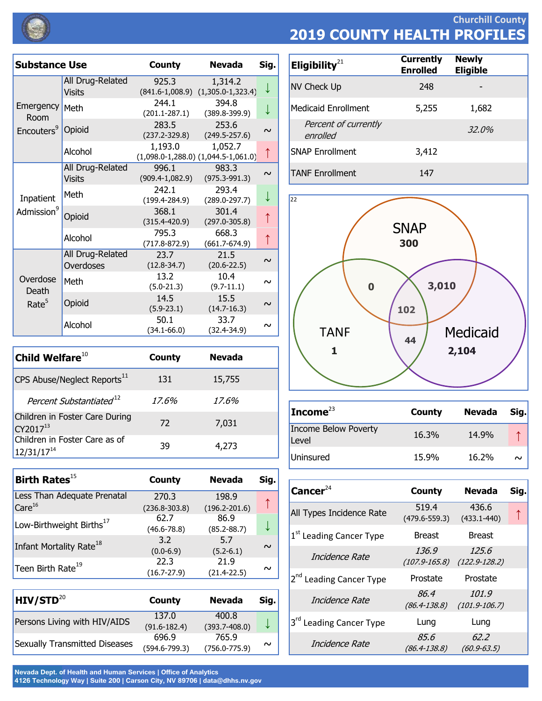

**Churchill County 2019 COUNTY HEALTH PROFILES**

| <b>Substance Use</b>                   |                                   | <b>County</b>                | <b>Nevada</b>                                          | Sig.   |
|----------------------------------------|-----------------------------------|------------------------------|--------------------------------------------------------|--------|
|                                        | All Drug-Related<br><b>Visits</b> | 925.3                        | 1,314.2<br>$(841.6-1,008.9)$ $(1,305.0-1,323.4)$       |        |
| Emergency<br>Room                      | Meth                              | 244.1<br>$(201.1 - 287.1)$   | 394.8<br>$(389.8 - 399.9)$                             |        |
| Encouters <sup>9</sup>                 | Opioid                            | 283.5<br>$(237.2 - 329.8)$   | 253.6<br>$(249.5 - 257.6)$                             | $\sim$ |
|                                        | Alcohol                           | 1,193.0                      | 1,052.7<br>$(1,098.0 - 1,288.0)$ $(1,044.5 - 1,061.0)$ | ↑      |
|                                        | All Drug-Related<br><b>Visits</b> | 996.1<br>$(909.4 - 1,082.9)$ | 983.3<br>$(975.3 - 991.3)$                             | $\sim$ |
| Inpatient                              | Meth                              | 242.1<br>$(199.4 - 284.9)$   | 293.4<br>$(289.0 - 297.7)$                             |        |
| Admission <sup>9</sup>                 | Opioid                            | 368.1<br>$(315.4 - 420.9)$   | 301.4<br>$(297.0 - 305.8)$                             | ↑      |
|                                        | Alcohol                           | 795.3<br>(717.8-872.9)       | 668.3<br>$(661.7 - 674.9)$                             | ↑      |
| Overdose<br>Death<br>Rate <sup>5</sup> | All Drug-Related<br>Overdoses     | 23.7<br>$(12.8 - 34.7)$      | 21.5<br>$(20.6 - 22.5)$                                | $\sim$ |
|                                        | Meth                              | 13.2<br>$(5.0 - 21.3)$       | 10.4<br>$(9.7 - 11.1)$                                 | $\sim$ |
|                                        | Opioid                            | 14.5<br>$(5.9 - 23.1)$       | 15.5<br>$(14.7 - 16.3)$                                | $\sim$ |
|                                        | Alcohol                           | 50.1<br>(34.1-66.0)          | 33.7<br>$(32.4 - 34.9)$                                | $\sim$ |

| Child Welfare $^{10}$                            | County | <b>Nevada</b> |
|--------------------------------------------------|--------|---------------|
| CPS Abuse/Neglect Reports <sup>11</sup>          | 131    | 15,755        |
| Percent Substantiated <sup>12</sup>              | 17.6%  | 17.6%         |
| Children in Foster Care During<br>CY201713       | 72     | 7,031         |
| Children in Foster Care as of<br>$12/31/17^{14}$ | 39     | 4,273         |

| Birth Rates $^{15}$                  | County            | <b>Nevada</b>     | Sig.   |
|--------------------------------------|-------------------|-------------------|--------|
| Less Than Adequate Prenatal          | 270.3             | 198.9             |        |
| Care <sup>16</sup>                   | $(236.8 - 303.8)$ | $(196.2 - 201.6)$ |        |
|                                      | 62.7              | 86.9              |        |
| Low-Birthweight Births <sup>17</sup> | $(46.6 - 78.8)$   | $(85.2 - 88.7)$   |        |
|                                      | 3.2               | 5.7               |        |
| Infant Mortality Rate <sup>18</sup>  | $(0.0 - 6.9)$     | $(5.2 - 6.1)$     | $\sim$ |
|                                      | 22.3              | 21.9              |        |
| Teen Birth Rate <sup>19</sup>        | $(16.7 - 27.9)$   | $(21.4 - 22.5)$   | $\sim$ |
|                                      |                   |                   |        |

| $HIV/STD^{20}$                       | County                     | <b>Nevada</b>              | Sig.   |
|--------------------------------------|----------------------------|----------------------------|--------|
| Persons Living with HIV/AIDS         | 137.0<br>$(91.6 - 182.4)$  | 400.8<br>$(393.7 - 408.0)$ |        |
| <b>Sexually Transmitted Diseases</b> | 696.9<br>$(594.6 - 799.3)$ | 765.9<br>$(756.0 - 775.9)$ | $\sim$ |

Nevada Dept. of Health and Human Services | Office of Analytics 4126 Technology Way | Suite 200 | Carson City, NV 89706 | data@dhhs.nv.gov

| Eligibility $^{21}$              | <b>Currently</b><br><b>Enrolled</b> | <b>Newly</b><br><b>Eligible</b> |
|----------------------------------|-------------------------------------|---------------------------------|
| NV Check Up                      | 248                                 |                                 |
| Medicaid Enrollment              | 5,255                               | 1,682                           |
| Percent of currently<br>enrolled |                                     | 32.0%                           |
| <b>SNAP Enrollment</b>           | 3,412                               |                                 |
| <b>TANF Enrollment</b>           | 147                                 |                                 |



| Income $^{23}$                | County | Nevada | Sig.   |
|-------------------------------|--------|--------|--------|
| Income Below Poverty<br>Level | 16.3%  | 14.9%  |        |
| Uninsured                     | 15.9%  | 16.2%  | $\sim$ |

| Cancer $24$                         | <b>County</b>              | <b>Nevada</b>              | Sig. |
|-------------------------------------|----------------------------|----------------------------|------|
| All Types Incidence Rate            | 519.4<br>$(479.6 - 559.3)$ | 436.6<br>$(433.1 - 440)$   |      |
| 1 <sup>st</sup> Leading Cancer Type | <b>Breast</b>              | <b>Breast</b>              |      |
| Incidence Rate                      | 136.9<br>$(107.9 - 165.8)$ | 125.6<br>$(122.9 - 128.2)$ |      |
| 2 <sup>nd</sup> Leading Cancer Type | Prostate                   | Prostate                   |      |
| Incidence Rate                      | 86.4<br>$(86.4 - 138.8)$   | 101.9<br>$(101.9 - 106.7)$ |      |
| 3 <sup>rd</sup> Leading Cancer Type | Lung                       | Lung                       |      |
| Incidence Rate                      | 85.6<br>$(86.4 - 138.8)$   | 62.2<br>$(60.9 - 63.5)$    |      |